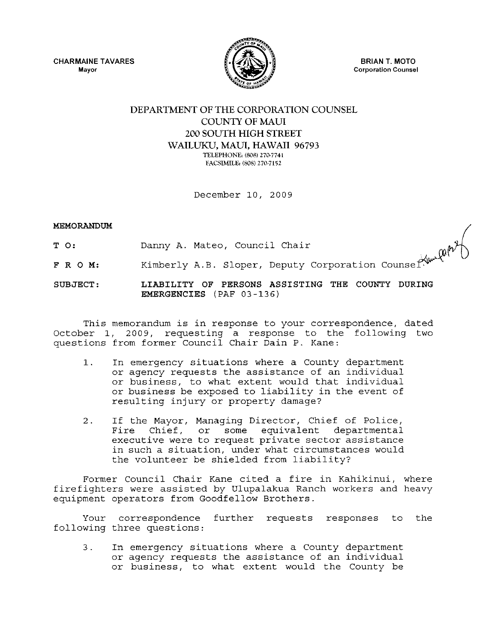CHARMAINE TAVARES **Mayor** 



BRIAN T. MOTO **Corporation Counsel** 

# DEPARTMENT OF THE CORPORATION COUNSEL COUNTY OF MAUl 200 SOUTH HIGH STREET WAILUKU, MAUl, HAWAII 96793 TELEPHONE. (8081 270-7741 FACSIMILE: (808) 270-7152

December 10, 2009

## MEMORANDUM

- T 0: Danny A. Mateo, Council Chair
- F R O M: Kimberly A.B. Sloper, Deputy Corporation

SUBJECT: LIABILITY OF PERSONS ASSISTING THE COUNTY DURING EMERGENCIES (PAF 03-136)

This memorandum is in response to your correspondence, dated October 1, 2009, requesting a response to the following two questions from former Council Chair Dain P. Kane:

- 1. In emergency situations where a County department or agency requests the assistance of an individual or business, to what extent would that individual or business be exposed to liability in the event of resulting injury or property damage?
- 2. If the Mayor, Managing Director, Chief of Police, some equivalent departmental executive were to request private sector assistance in such a situation, under what circumstances would the volunteer be shielded from liability?

Former Council Chair Kane cited a fire in Kahikinui, where firefighters were assisted by Ulupalakua Ranch workers and heavy equipment operators from Goodfellow Brothers.

Your correspondence further requests responses to the following three questions:

3. In emergency situations where a County department or agency requests the assistance of an individual or business, to what extent would the County be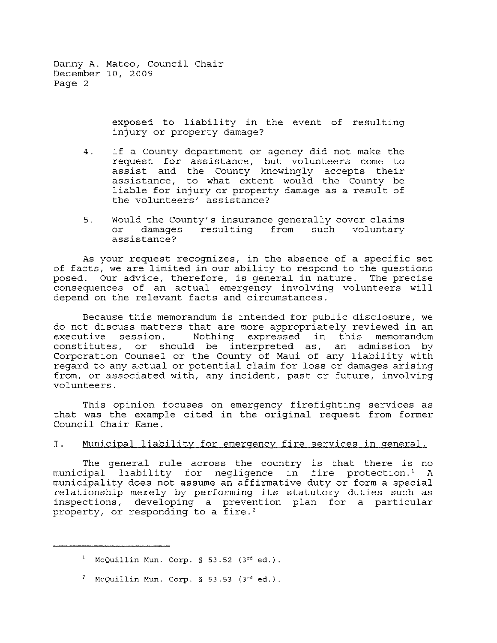> exposed to liability in the event of resulting injury or property damage?

- 4. If a County department or agency did not make the request for assistance, but volunteers come to assist and the County knowingly accepts their assistance, to what extent would the County be liable for injury or property damage as a result of the volunteers' assistance?
- 5. Would the County's insurance generally cover claims or damages resulting from such voluntary assistance?

As your request recognizes, in the absence of a specific set of facts, we are limited in our ability to respond to the questions posed. Our advice, therefore, is general in nature. The precise consequences of an actual emergency involving volunteers will depend on the relevant facts and circumstances.

Because this memorandum is intended for public disclosure, we do not discuss matters that are more appropriately reviewed in an Nothing expressed in this constitutes, or should be interpreted as, an admission by Corporation Counsel or the County of Maui of any liability with regard to any actual or potential claim for loss or damages arising from, or associated with, any incident, past or future, involving volunteers.

This opinion focuses on emergency firefighting services as that was the example cited in the original request from former Council Chair Kane.

# I. Municipal liability for emergency fire services in general.

The general rule across the country is that there is no municipal liability for negligence in fire protection. ' A municipality does not assume an affirmative duty or form a special relationship merely by performing its statutory duties such as inspections, developing a prevention plan for a particular property, or responding to a fire.'

<sup>&</sup>lt;sup>1</sup> McQuillin Mun. Corp. § 53.52 (3<sup>rd</sup> ed.).

<sup>&</sup>lt;sup>2</sup> McQuillin Mun. Corp. § 53.53 (3<sup>rd</sup> ed.).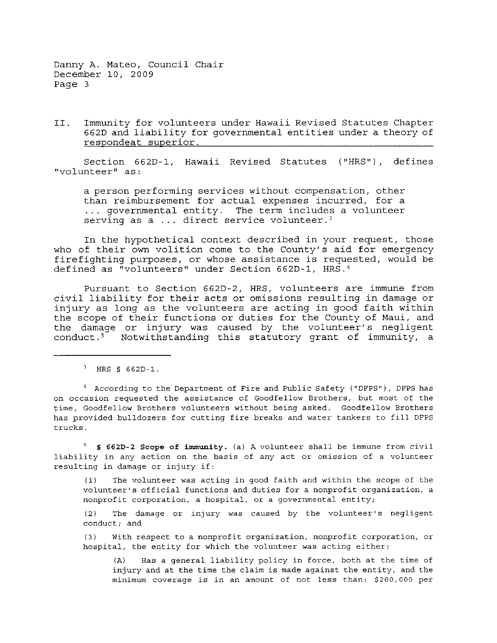II. Immunity for volunteers under Hawaii Revised Statutes Chapter 662D and liability for governmental entities under a theory of respondeat superior.

Section 662D-l, Hawaii Revised Statutes ("HRS"), defines "volunteer" as:

a person performing services without compensation, other than reimbursement for actual expenses incurred, for a ... governmental entity. The term includes a volunteer serving as a  $\ldots$  direct service volunteer.<sup>3</sup>

In the hypothetical context described in your request, those who of their own volition come to the County's aid for emergency firefighting purposes, or whose assistance is requested, would be defined as "volunteers" under Section 662D-l, HRS.4

Pursuant to Section 662D-2, HRS, volunteers are immune from civil liability for their acts or omissions resulting in damage or injury as long as the volunteers are acting in good faith within the scope of their functions or duties for the County of Maui, and the damage or injury was caused by the volunteer's negligent conduct. 5 Notwithstanding this statutory grant of immunity, a

 $3$  HRS § 662D-1.

<sup>4</sup> According to the Department of Fire and Public Safety ("DFPS"), DFPS has **on occasion requested the assistance of Goodfellow Brothers, but most of the time, Goodfellow Brothers volunteers without being asked. Goodfellow Brothers has provided bulldozers for cutting fire breaks and water tankers to fill DFPS trucks.** 

<sup>5</sup>**§ 6620-2 Scope of immunity. (a) A volunteer shall be immune from civil liability in any action on the basis of any act or omission of a volunteer resulting in damage or injury if:** 

**(1) The volunteer was acting in good faith and within the scope of the**  volunteer's official functions and duties for a nonprofit organization, a **nonprofit corporation, a hospital, or a governmental entity;** 

**(2) The damage or injury was caused by the volunteer <sup>t</sup>s negligent conduct; and** 

**(3) With respect to a nonprofit organization, nonprofit corporation, or hospital, the entity for which the volunteer was acting either:** 

**(A) Has a general liability policy in force, both at the time of injury and at the time the claim is made against the entity, and the minimum coverage is in an amount of not less than: \$200,000 per**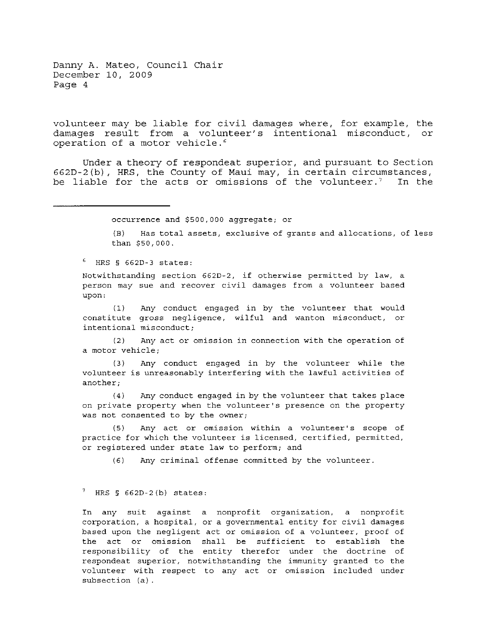volunteer may be liable for civil damages where, for example, the damages result from a volunteer's intentional misconduct, or operation of a motor vehicle.'

Under a theory of respondeat superior, and pursuant to Section 662D-2 (b) , HRS, the County of Maui may, in certain circumstances, be liable for the acts or omissions of the volunteer.<sup>7</sup> In the

**occurrence and \$500,000 aggregate; or** 

**(B) Has total assets, exclusive of grants and allocations, of less**  than \$50,000.

 $<sup>6</sup>$  HRS § 662D-3 states:</sup>

**Notwithstanding section 662D-2, if otherwise permitted by law, a person may sue and recover civil damages from a volunteer based upon:** 

**(1) Any conduct engaged in by the volunteer that would constitute gross negligence, wilful and wanton misconduct, or intentional misconduct;** 

**(2) Any act or omission in connection with the operation of a motor vehicle;** 

(3) Any conduct engaged in by the volunteer while the **volunteer is unreasonably interfering with the lawful activities of another;** 

(4) Any conduct engaged in by the volunteer that takes place **on private property when the volunteer's presence on the property was not consented to by the ownerj** 

**(5) Any act or omission within a volunteer'S scope of practice for which the volunteer is licensed, certified, permitted, or registered under state law to perform; and** 

**(6) Any criminal offense committed by the volunteer.** 

#### $7$  HRS § 662D-2(b) states:

**In any suit against a nonprofit organization, a nonprofit corporation, a hospital, or a governmental entity for civil damages based upon the negligent act or omission of a volunteer, proof of the act or omission shall be sufficient to establish the responsibility of the entity therefor under the doctrine of respondeat superior, notwithstanding the immunity granted to the volunteer with respect to any act or omission included under subsection (a).**